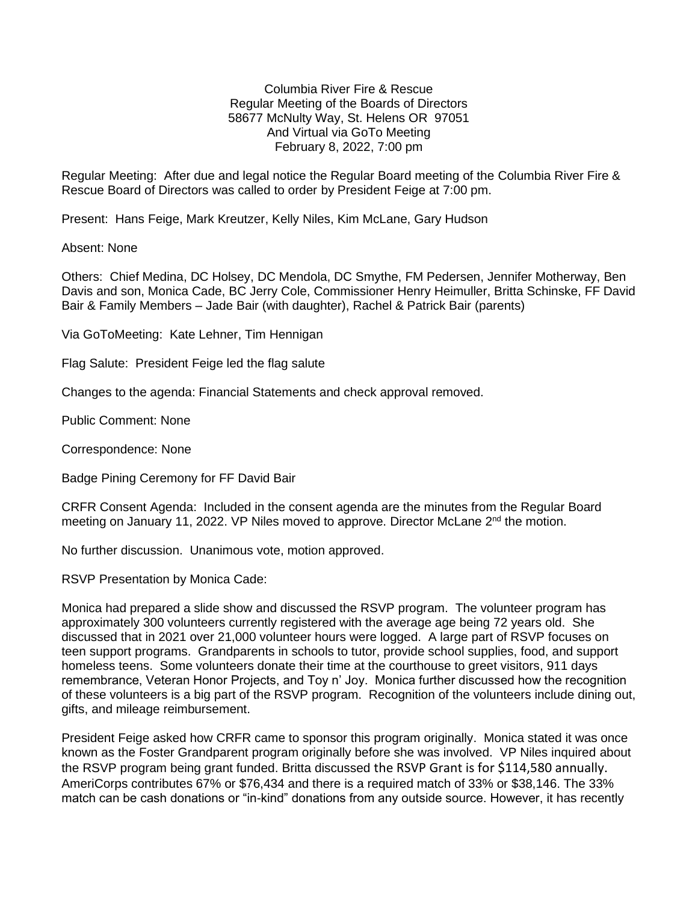Columbia River Fire & Rescue Regular Meeting of the Boards of Directors 58677 McNulty Way, St. Helens OR 97051 And Virtual via GoTo Meeting February 8, 2022, 7:00 pm

Regular Meeting: After due and legal notice the Regular Board meeting of the Columbia River Fire & Rescue Board of Directors was called to order by President Feige at 7:00 pm.

Present: Hans Feige, Mark Kreutzer, Kelly Niles, Kim McLane, Gary Hudson

Absent: None

Others: Chief Medina, DC Holsey, DC Mendola, DC Smythe, FM Pedersen, Jennifer Motherway, Ben Davis and son, Monica Cade, BC Jerry Cole, Commissioner Henry Heimuller, Britta Schinske, FF David Bair & Family Members – Jade Bair (with daughter), Rachel & Patrick Bair (parents)

Via GoToMeeting: Kate Lehner, Tim Hennigan

Flag Salute: President Feige led the flag salute

Changes to the agenda: Financial Statements and check approval removed.

Public Comment: None

Correspondence: None

Badge Pining Ceremony for FF David Bair

CRFR Consent Agenda: Included in the consent agenda are the minutes from the Regular Board meeting on January 11, 2022. VP Niles moved to approve. Director McLane 2<sup>nd</sup> the motion.

No further discussion. Unanimous vote, motion approved.

RSVP Presentation by Monica Cade:

Monica had prepared a slide show and discussed the RSVP program. The volunteer program has approximately 300 volunteers currently registered with the average age being 72 years old. She discussed that in 2021 over 21,000 volunteer hours were logged. A large part of RSVP focuses on teen support programs. Grandparents in schools to tutor, provide school supplies, food, and support homeless teens. Some volunteers donate their time at the courthouse to greet visitors, 911 days remembrance, Veteran Honor Projects, and Toy n' Joy. Monica further discussed how the recognition of these volunteers is a big part of the RSVP program. Recognition of the volunteers include dining out, gifts, and mileage reimbursement.

President Feige asked how CRFR came to sponsor this program originally. Monica stated it was once known as the Foster Grandparent program originally before she was involved. VP Niles inquired about the RSVP program being grant funded. Britta discussed the RSVP Grant is for \$114,580 annually. AmeriCorps contributes 67% or \$76,434 and there is a required match of 33% or \$38,146. The 33% match can be cash donations or "in-kind" donations from any outside source. However, it has recently